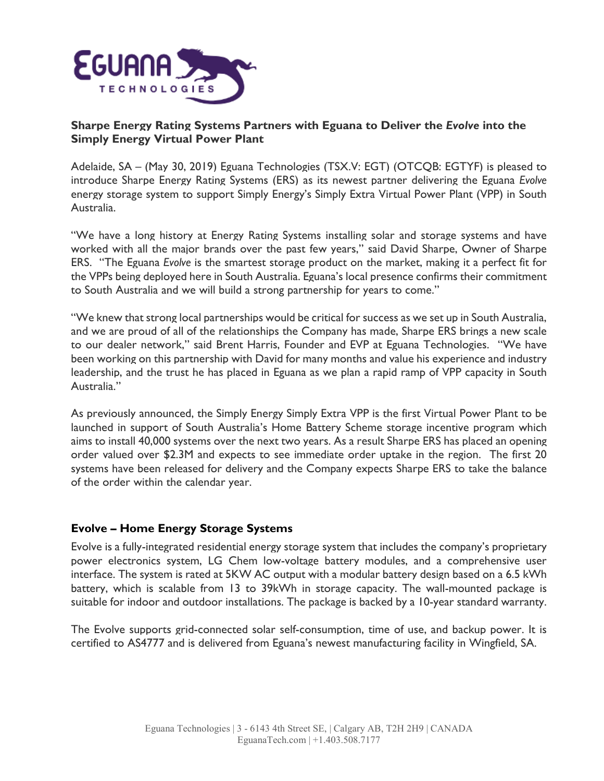

# **Sharpe Energy Rating Systems Partners with Eguana to Deliver the** *Evolve* **into the Simply Energy Virtual Power Plant**

Adelaide, SA – (May 30, 2019) Eguana Technologies (TSX.V: EGT) (OTCQB: EGTYF) is pleased to introduce Sharpe Energy Rating Systems (ERS) as its newest partner delivering the Eguana *Evolve* energy storage system to support Simply Energy's Simply Extra Virtual Power Plant (VPP) in South Australia.

"We have a long history at Energy Rating Systems installing solar and storage systems and have worked with all the major brands over the past few years," said David Sharpe, Owner of Sharpe ERS. "The Eguana *Evolve* is the smartest storage product on the market, making it a perfect fit for the VPPs being deployed here in South Australia. Eguana's local presence confirms their commitment to South Australia and we will build a strong partnership for years to come."

"We knew that strong local partnerships would be critical for success as we set up in South Australia, and we are proud of all of the relationships the Company has made, Sharpe ERS brings a new scale to our dealer network," said Brent Harris, Founder and EVP at Eguana Technologies. "We have been working on this partnership with David for many months and value his experience and industry leadership, and the trust he has placed in Eguana as we plan a rapid ramp of VPP capacity in South Australia."

As previously announced, the Simply Energy Simply Extra VPP is the first Virtual Power Plant to be launched in support of South Australia's Home Battery Scheme storage incentive program which aims to install 40,000 systems over the next two years. As a result Sharpe ERS has placed an opening order valued over \$2.3M and expects to see immediate order uptake in the region. The first 20 systems have been released for delivery and the Company expects Sharpe ERS to take the balance of the order within the calendar year.

# **Evolve – Home Energy Storage Systems**

Evolve is a fully-integrated residential energy storage system that includes the company's proprietary power electronics system, LG Chem low-voltage battery modules, and a comprehensive user interface. The system is rated at 5KW AC output with a modular battery design based on a 6.5 kWh battery, which is scalable from 13 to 39kWh in storage capacity. The wall-mounted package is suitable for indoor and outdoor installations. The package is backed by a 10-year standard warranty.

The Evolve supports grid-connected solar self-consumption, time of use, and backup power. It is certified to AS4777 and is delivered from Eguana's newest manufacturing facility in Wingfield, SA.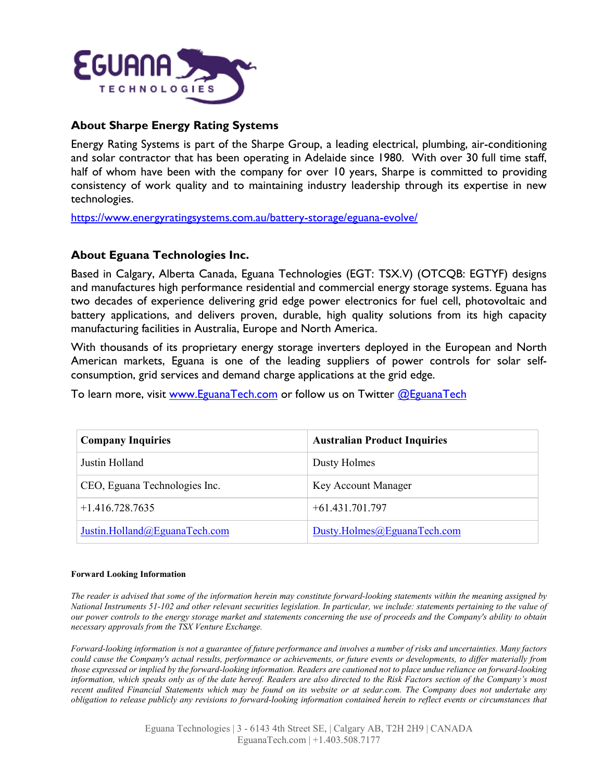

## **About Sharpe Energy Rating Systems**

Energy Rating Systems is part of the Sharpe Group, a leading electrical, plumbing, air-conditioning and solar contractor that has been operating in Adelaide since 1980. With over 30 full time staff, half of whom have been with the company for over 10 years, Sharpe is committed to providing consistency of work quality and to maintaining industry leadership through its expertise in new technologies.

<https://www.energyratingsystems.com.au/battery-storage/eguana-evolve/>

#### **About Eguana Technologies Inc.**

Based in Calgary, Alberta Canada, Eguana Technologies (EGT: TSX.V) (OTCQB: EGTYF) designs and manufactures high performance residential and commercial energy storage systems. Eguana has two decades of experience delivering grid edge power electronics for fuel cell, photovoltaic and battery applications, and delivers proven, durable, high quality solutions from its high capacity manufacturing facilities in Australia, Europe and North America.

With thousands of its proprietary energy storage inverters deployed in the European and North American markets, Eguana is one of the leading suppliers of power controls for solar selfconsumption, grid services and demand charge applications at the grid edge.

To learn more, visit www. Eguana Tech.com or follow us on Twitter @Eguana Tech

| <b>Company Inquiries</b>      | <b>Australian Product Inquiries</b> |
|-------------------------------|-------------------------------------|
| Justin Holland                | Dusty Holmes                        |
| CEO, Eguana Technologies Inc. | Key Account Manager                 |
| $+1.416.728.7635$             | $+61.431.701.797$                   |
| Justin.Holland@EguanaTech.com | Dusty.Holmes@EguanaTech.com         |

#### **Forward Looking Information**

The reader is advised that some of the information herein may constitute forward-looking statements within the meaning assigned by National Instruments 51-102 and other relevant securities legislation. In particular, we include: statements pertaining to the value of our power controls to the energy storage market and statements concerning the use of proceeds and the Company's ability to obtain *necessary approvals from the TSX Venture Exchange.*

Forward-looking information is not a guarantee of future performance and involves a number of risks and uncertainties. Many factors could cause the Company's actual results, performance or achievements, or future events or developments, to differ materially from those expressed or implied by the forward-looking information. Readers are cautioned not to place undue reliance on forward-looking information, which speaks only as of the date hereof. Readers are also directed to the Risk Factors section of the Company's most recent audited Financial Statements which may be found on its website or at sedar.com. The Company does not undertake any obligation to release publicly any revisions to forward-looking information contained herein to reflect events or circumstances that